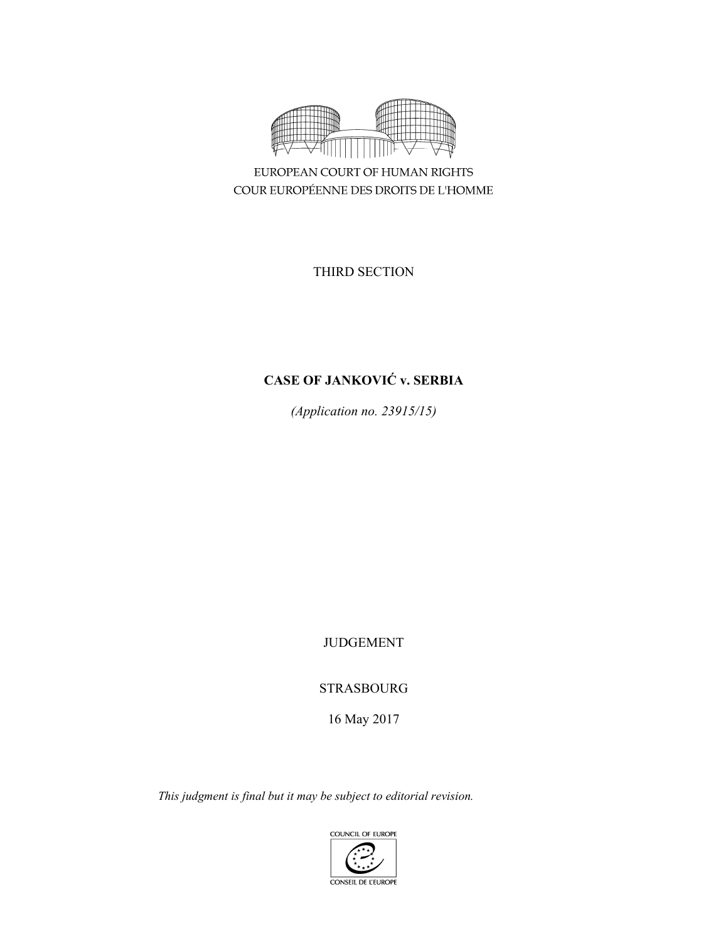

EUROPEAN COURT OF HUMAN RIGHTS COUR EUROPÉENNE DES DROITS DE L'HOMME

THIRD SECTION

# **CASE OF JANKOVIĆ v. SERBIA**

*(Application no. 23915/15)* 

JUDGEMENT

STRASBOURG

16 May 2017

*This judgment is final but it may be subject to editorial revision.*

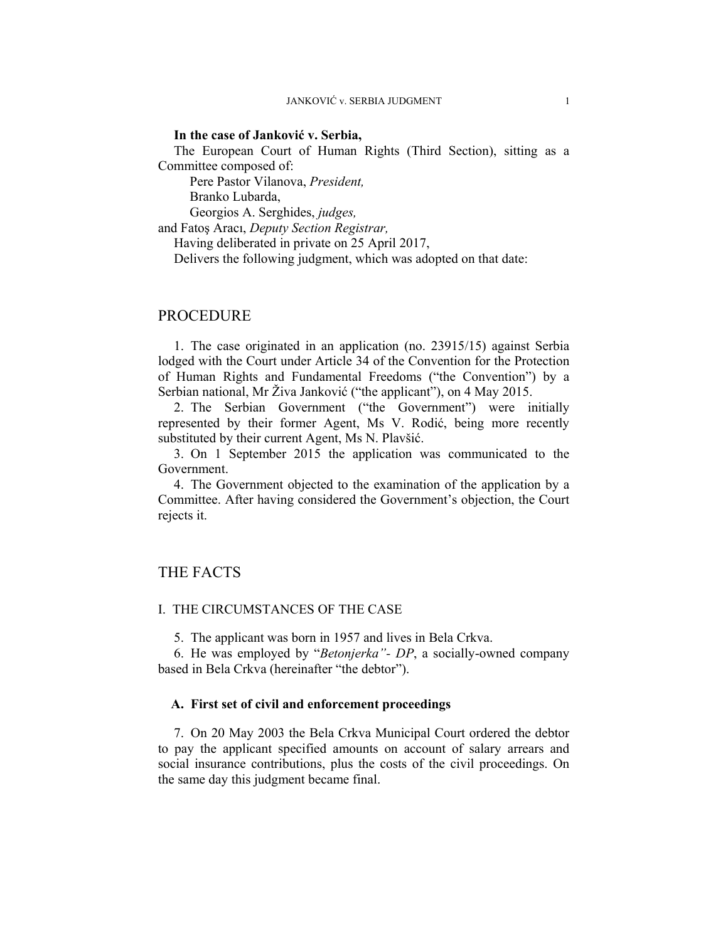### **In the case of Janković v. Serbia,**

The European Court of Human Rights (Third Section), sitting as a Committee composed of:

Pere Pastor Vilanova, *President,* 

Branko Lubarda,

 Georgios A. Serghides, *judges,* and Fatoş Aracı, *Deputy Section Registrar,*

Having deliberated in private on 25 April 2017,

Delivers the following judgment, which was adopted on that date:

# PROCEDURE

1. The case originated in an application (no. 23915/15) against Serbia lodged with the Court under Article 34 of the Convention for the Protection of Human Rights and Fundamental Freedoms ("the Convention") by a Serbian national, Mr Živa Janković ("the applicant"), on 4 May 2015.

2. The Serbian Government ("the Government") were initially represented by their former Agent, Ms V. Rodić, being more recently substituted by their current Agent, Ms N. Plavšić.

3. On 1 September 2015 the application was communicated to the Government.

4. The Government objected to the examination of the application by a Committee. After having considered the Government's objection, the Court rejects it.

# THE FACTS

### I. THE CIRCUMSTANCES OF THE CASE

5. The applicant was born in 1957 and lives in Bela Crkva.

6. He was employed by "*Betonjerka"- DP*, a socially-owned company based in Bela Crkva (hereinafter "the debtor").

### **A. First set of civil and enforcement proceedings**

7. On 20 May 2003 the Bela Crkva Municipal Court ordered the debtor to pay the applicant specified amounts on account of salary arrears and social insurance contributions, plus the costs of the civil proceedings. On the same day this judgment became final.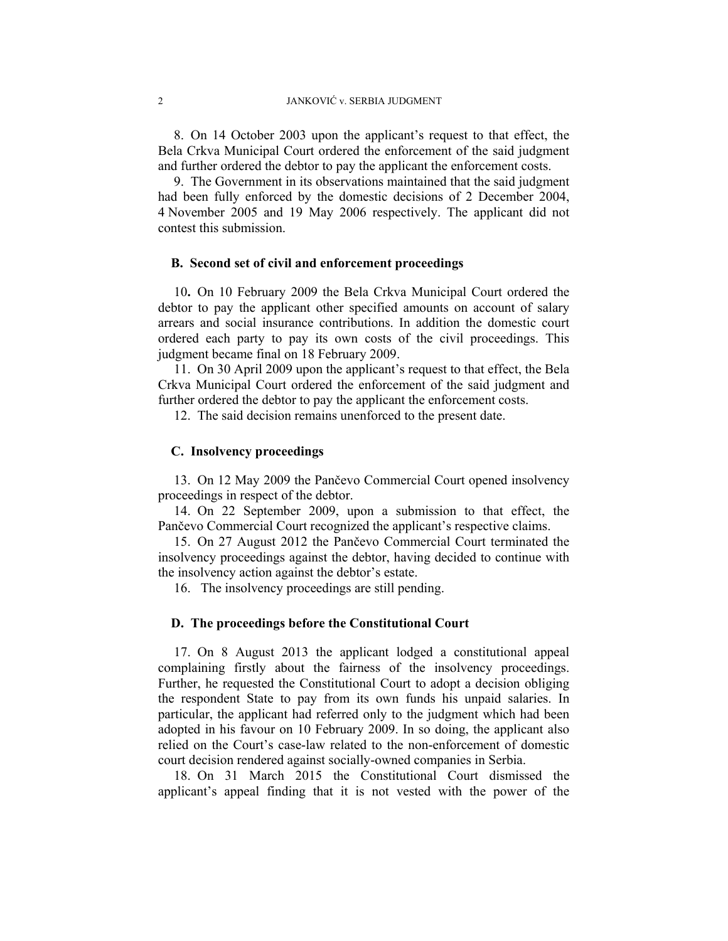8. On 14 October 2003 upon the applicant's request to that effect, the Bela Crkva Municipal Court ordered the enforcement of the said judgment and further ordered the debtor to pay the applicant the enforcement costs.

9. The Government in its observations maintained that the said judgment had been fully enforced by the domestic decisions of 2 December 2004, 4 November 2005 and 19 May 2006 respectively. The applicant did not contest this submission.

### **B. Second set of civil and enforcement proceedings**

10**.** On 10 February 2009 the Bela Crkva Municipal Court ordered the debtor to pay the applicant other specified amounts on account of salary arrears and social insurance contributions. In addition the domestic court ordered each party to pay its own costs of the civil proceedings. This judgment became final on 18 February 2009.

11. On 30 April 2009 upon the applicant's request to that effect, the Bela Crkva Municipal Court ordered the enforcement of the said judgment and further ordered the debtor to pay the applicant the enforcement costs.

12. The said decision remains unenforced to the present date.

### **C. Insolvency proceedings**

13. On 12 May 2009 the Pančevo Commercial Court opened insolvency proceedings in respect of the debtor.

14. On 22 September 2009, upon a submission to that effect, the Pančevo Commercial Court recognized the applicant's respective claims.

15. On 27 August 2012 the Pančevo Commercial Court terminated the insolvency proceedings against the debtor, having decided to continue with the insolvency action against the debtor's estate.

16. The insolvency proceedings are still pending.

### **D. The proceedings before the Constitutional Court**

17. On 8 August 2013 the applicant lodged a constitutional appeal complaining firstly about the fairness of the insolvency proceedings. Further, he requested the Constitutional Court to adopt a decision obliging the respondent State to pay from its own funds his unpaid salaries. In particular, the applicant had referred only to the judgment which had been adopted in his favour on 10 February 2009. In so doing, the applicant also relied on the Court's case-law related to the non-enforcement of domestic court decision rendered against socially-owned companies in Serbia.

18. On 31 March 2015 the Constitutional Court dismissed the applicant's appeal finding that it is not vested with the power of the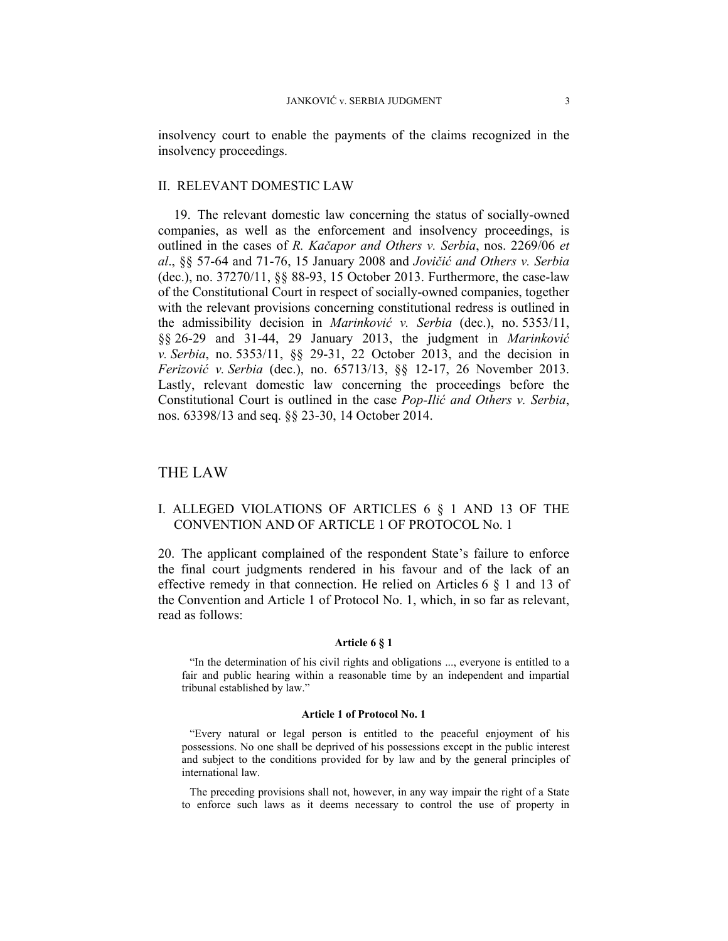insolvency court to enable the payments of the claims recognized in the insolvency proceedings.

#### II. RELEVANT DOMESTIC LAW

19. The relevant domestic law concerning the status of socially-owned companies, as well as the enforcement and insolvency proceedings, is outlined in the cases of *R. Kačapor and Others v. Serbia*, nos. 2269/06 *et al*., §§ 57-64 and 71-76, 15 January 2008 and *Jovičić and Others v. Serbia*  (dec.), no. 37270/11, §§ 88-93, 15 October 2013. Furthermore, the case-law of the Constitutional Court in respect of socially-owned companies, together with the relevant provisions concerning constitutional redress is outlined in the admissibility decision in *Marinković v. Serbia* (dec.), no. 5353/11, §§ 26-29 and 31-44, 29 January 2013, the judgment in *Marinković v. Serbia*, no. 5353/11, §§ 29-31, 22 October 2013, and the decision in *Ferizović v. Serbia* (dec.), no. 65713/13, §§ 12-17, 26 November 2013. Lastly, relevant domestic law concerning the proceedings before the Constitutional Court is outlined in the case *Pop-Ilić and Others v. Serbia*, nos. 63398/13 and seq. §§ 23-30, 14 October 2014.

# THE LAW

## I. ALLEGED VIOLATIONS OF ARTICLES 6 § 1 AND 13 OF THE CONVENTION AND OF ARTICLE 1 OF PROTOCOL No. 1

20. The applicant complained of the respondent State's failure to enforce the final court judgments rendered in his favour and of the lack of an effective remedy in that connection. He relied on Articles 6 § 1 and 13 of the Convention and Article 1 of Protocol No. 1, which, in so far as relevant, read as follows:

#### **Article 6 § 1**

"In the determination of his civil rights and obligations ..., everyone is entitled to a fair and public hearing within a reasonable time by an independent and impartial tribunal established by law."

#### **Article 1 of Protocol No. 1**

"Every natural or legal person is entitled to the peaceful enjoyment of his possessions. No one shall be deprived of his possessions except in the public interest and subject to the conditions provided for by law and by the general principles of international law.

The preceding provisions shall not, however, in any way impair the right of a State to enforce such laws as it deems necessary to control the use of property in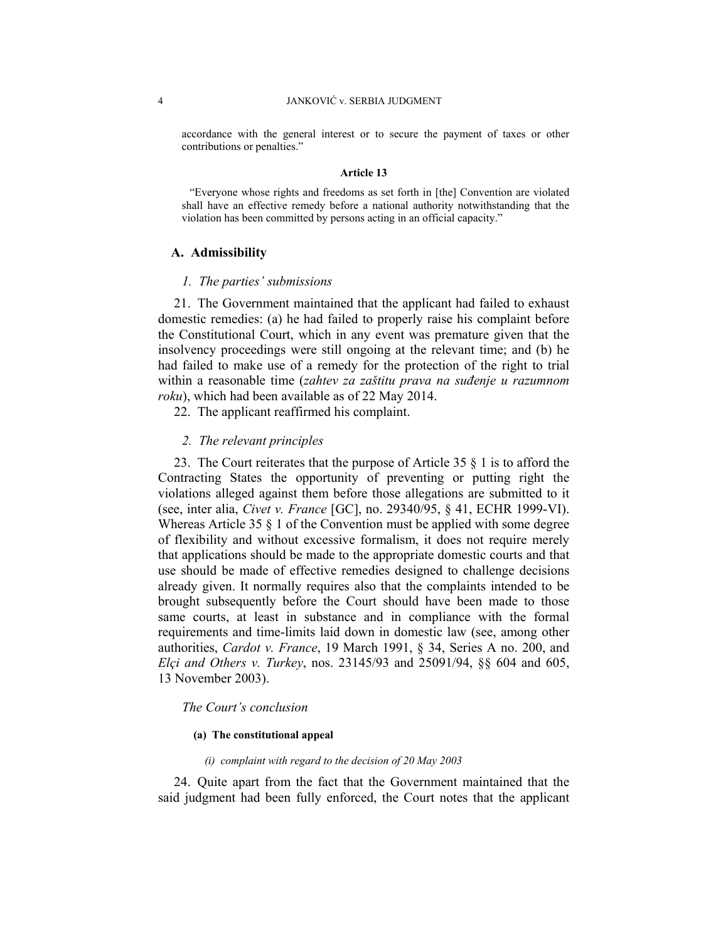accordance with the general interest or to secure the payment of taxes or other contributions or penalties."

#### **Article 13**

"Everyone whose rights and freedoms as set forth in [the] Convention are violated shall have an effective remedy before a national authority notwithstanding that the violation has been committed by persons acting in an official capacity."

### **A. Admissibility**

#### *1. The parties' submissions*

21. The Government maintained that the applicant had failed to exhaust domestic remedies: (a) he had failed to properly raise his complaint before the Constitutional Court, which in any event was premature given that the insolvency proceedings were still ongoing at the relevant time; and (b) he had failed to make use of a remedy for the protection of the right to trial within a reasonable time (*zahtev za zaštitu prava na suđenje u razumnom roku*), which had been available as of 22 May 2014.

22. The applicant reaffirmed his complaint.

#### *2. The relevant principles*

23. The Court reiterates that the purpose of Article 35 § 1 is to afford the Contracting States the opportunity of preventing or putting right the violations alleged against them before those allegations are submitted to it (see, inter alia, *Civet v. France* [GC], no. 29340/95, § 41, ECHR 1999-VI). Whereas Article 35  $\S$  1 of the Convention must be applied with some degree of flexibility and without excessive formalism, it does not require merely that applications should be made to the appropriate domestic courts and that use should be made of effective remedies designed to challenge decisions already given. It normally requires also that the complaints intended to be brought subsequently before the Court should have been made to those same courts, at least in substance and in compliance with the formal requirements and time-limits laid down in domestic law (see, among other authorities, *Cardot v. France*, 19 March 1991, § 34, Series A no. 200, and *Elçi and Others v. Turkey*, nos. 23145/93 and 25091/94, §§ 604 and 605, 13 November 2003).

### *The Court's conclusion*

#### **(a) The constitutional appeal**

#### *(i) complaint with regard to the decision of 20 May 2003*

24. Quite apart from the fact that the Government maintained that the said judgment had been fully enforced, the Court notes that the applicant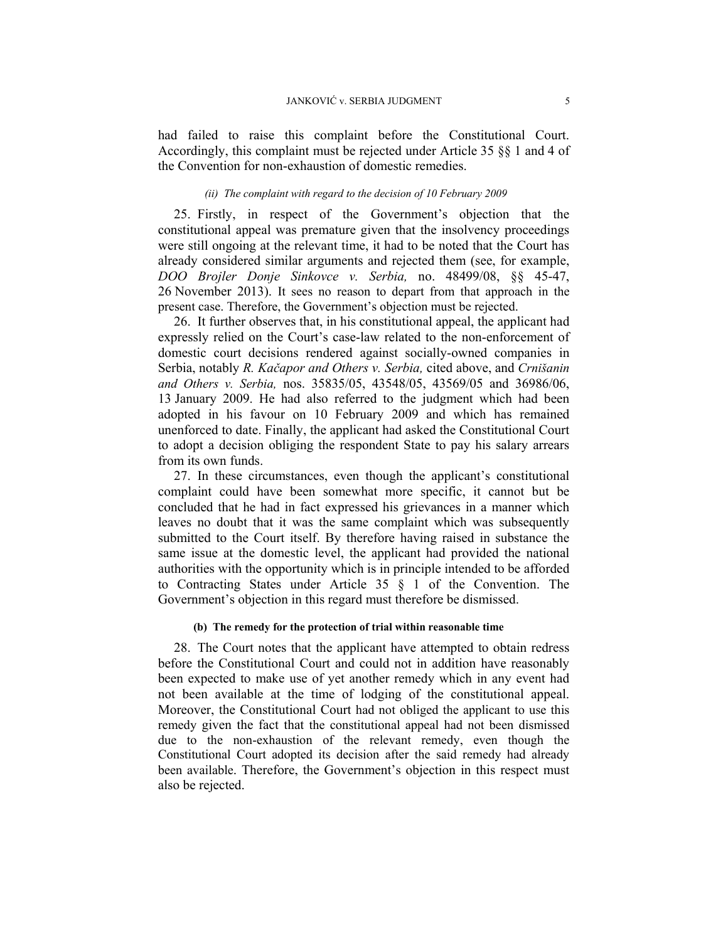had failed to raise this complaint before the Constitutional Court. Accordingly, this complaint must be rejected under Article 35 §§ 1 and 4 of the Convention for non-exhaustion of domestic remedies.

#### *(ii) The complaint with regard to the decision of 10 February 2009*

25. Firstly, in respect of the Government's objection that the constitutional appeal was premature given that the insolvency proceedings were still ongoing at the relevant time, it had to be noted that the Court has already considered similar arguments and rejected them (see, for example, *DOO Brojler Donje Sinkovce v. Serbia,* no. 48499/08, §§ 45-47, 26 November 2013). It sees no reason to depart from that approach in the present case. Therefore, the Government's objection must be rejected.

26. It further observes that, in his constitutional appeal, the applicant had expressly relied on the Court's case-law related to the non-enforcement of domestic court decisions rendered against socially-owned companies in Serbia, notably *R. Kačapor and Others v. Serbia,* cited above, and *Crnišanin and Others v. Serbia,* nos. 35835/05, 43548/05, 43569/05 and 36986/06, 13 January 2009. He had also referred to the judgment which had been adopted in his favour on 10 February 2009 and which has remained unenforced to date. Finally, the applicant had asked the Constitutional Court to adopt a decision obliging the respondent State to pay his salary arrears from its own funds.

27. In these circumstances, even though the applicant's constitutional complaint could have been somewhat more specific, it cannot but be concluded that he had in fact expressed his grievances in a manner which leaves no doubt that it was the same complaint which was subsequently submitted to the Court itself. By therefore having raised in substance the same issue at the domestic level, the applicant had provided the national authorities with the opportunity which is in principle intended to be afforded to Contracting States under Article 35 § 1 of the Convention. The Government's objection in this regard must therefore be dismissed.

#### **(b) The remedy for the protection of trial within reasonable time**

28. The Court notes that the applicant have attempted to obtain redress before the Constitutional Court and could not in addition have reasonably been expected to make use of yet another remedy which in any event had not been available at the time of lodging of the constitutional appeal. Moreover, the Constitutional Court had not obliged the applicant to use this remedy given the fact that the constitutional appeal had not been dismissed due to the non-exhaustion of the relevant remedy, even though the Constitutional Court adopted its decision after the said remedy had already been available. Therefore, the Government's objection in this respect must also be rejected.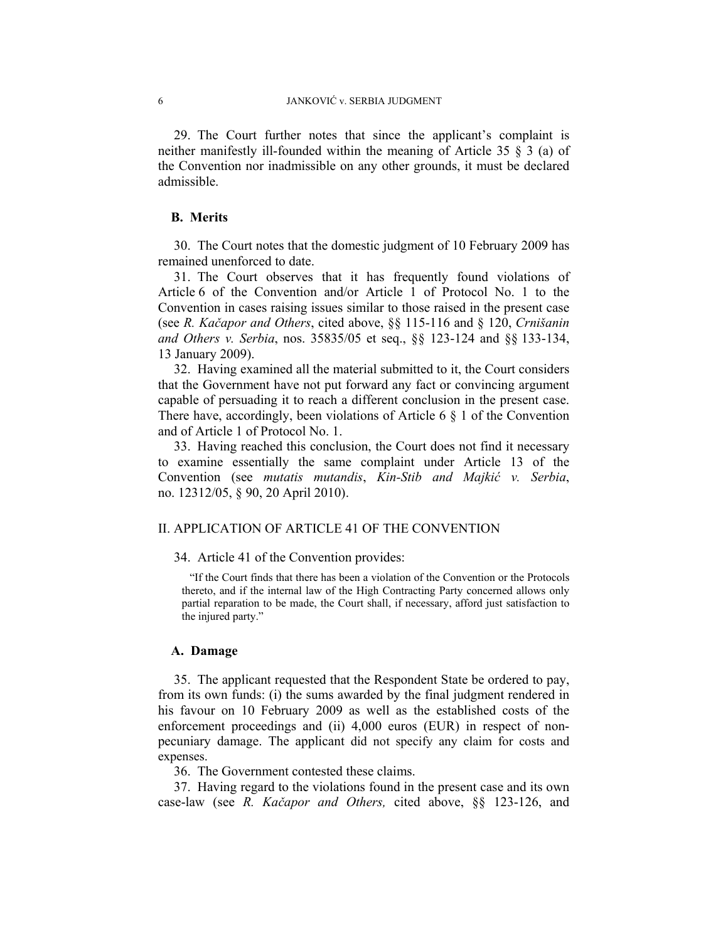29. The Court further notes that since the applicant's complaint is neither manifestly ill-founded within the meaning of Article 35 § 3 (a) of the Convention nor inadmissible on any other grounds, it must be declared admissible.

### **B. Merits**

30. The Court notes that the domestic judgment of 10 February 2009 has remained unenforced to date.

31. The Court observes that it has frequently found violations of Article 6 of the Convention and/or Article 1 of Protocol No. 1 to the Convention in cases raising issues similar to those raised in the present case (see *R. Kačapor and Others*, cited above, §§ 115-116 and § 120, *Crnišanin and Others v. Serbia*, nos. 35835/05 et seq., §§ 123-124 and §§ 133-134, 13 January 2009).

32. Having examined all the material submitted to it, the Court considers that the Government have not put forward any fact or convincing argument capable of persuading it to reach a different conclusion in the present case. There have, accordingly, been violations of Article 6  $\S$  1 of the Convention and of Article 1 of Protocol No. 1.

33. Having reached this conclusion, the Court does not find it necessary to examine essentially the same complaint under Article 13 of the Convention (see *mutatis mutandis*, *Kin-Stib and Majkić v. Serbia*, no. 12312/05, § 90, 20 April 2010).

# II. APPLICATION OF ARTICLE 41 OF THE CONVENTION

34. Article 41 of the Convention provides:

"If the Court finds that there has been a violation of the Convention or the Protocols thereto, and if the internal law of the High Contracting Party concerned allows only partial reparation to be made, the Court shall, if necessary, afford just satisfaction to the injured party."

#### **A. Damage**

35. The applicant requested that the Respondent State be ordered to pay, from its own funds: (i) the sums awarded by the final judgment rendered in his favour on 10 February 2009 as well as the established costs of the enforcement proceedings and (ii) 4,000 euros (EUR) in respect of nonpecuniary damage. The applicant did not specify any claim for costs and expenses.

36. The Government contested these claims.

37. Having regard to the violations found in the present case and its own case-law (see *R. Kačapor and Others,* cited above, §§ 123-126, and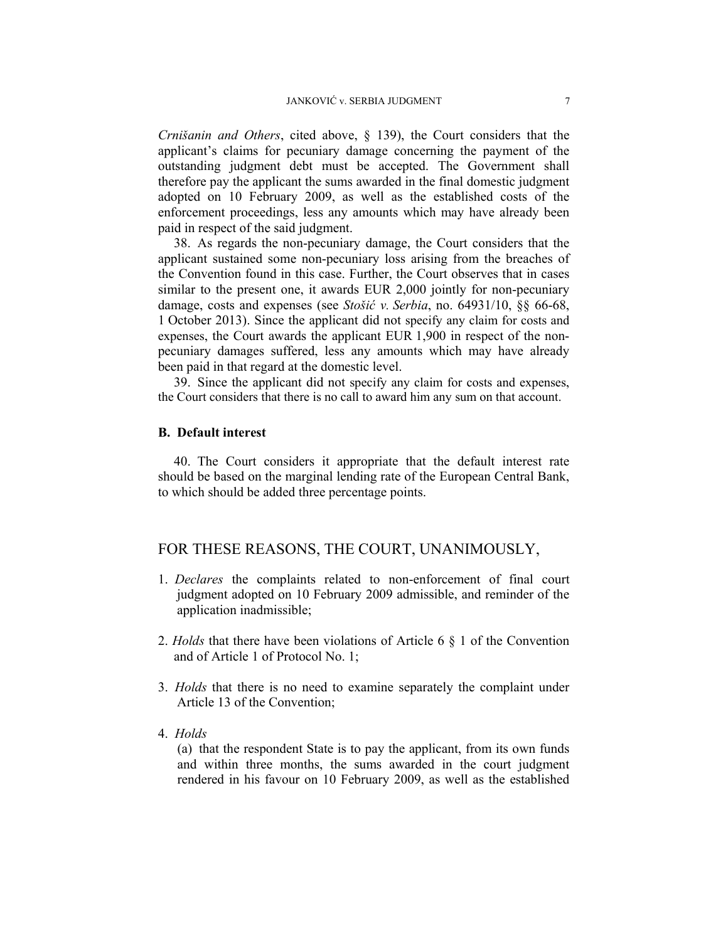*Crnišanin and Others*, cited above, § 139), the Court considers that the applicant's claims for pecuniary damage concerning the payment of the outstanding judgment debt must be accepted. The Government shall therefore pay the applicant the sums awarded in the final domestic judgment adopted on 10 February 2009, as well as the established costs of the enforcement proceedings, less any amounts which may have already been paid in respect of the said judgment.

38. As regards the non-pecuniary damage, the Court considers that the applicant sustained some non-pecuniary loss arising from the breaches of the Convention found in this case. Further, the Court observes that in cases similar to the present one, it awards EUR 2,000 jointly for non-pecuniary damage, costs and expenses (see *Stošić v. Serbia*, no. 64931/10, §§ 66-68, 1 October 2013). Since the applicant did not specify any claim for costs and expenses, the Court awards the applicant EUR 1,900 in respect of the nonpecuniary damages suffered, less any amounts which may have already been paid in that regard at the domestic level.

39. Since the applicant did not specify any claim for costs and expenses, the Court considers that there is no call to award him any sum on that account.

### **B. Default interest**

40. The Court considers it appropriate that the default interest rate should be based on the marginal lending rate of the European Central Bank, to which should be added three percentage points.

# FOR THESE REASONS, THE COURT, UNANIMOUSLY,

- 1. *Declares* the complaints related to non-enforcement of final court judgment adopted on 10 February 2009 admissible, and reminder of the application inadmissible;
- 2. *Holds* that there have been violations of Article 6 § 1 of the Convention and of Article 1 of Protocol No. 1;
- 3. *Holds* that there is no need to examine separately the complaint under Article 13 of the Convention;
- 4. *Holds*

(a) that the respondent State is to pay the applicant, from its own funds and within three months, the sums awarded in the court judgment rendered in his favour on 10 February 2009, as well as the established